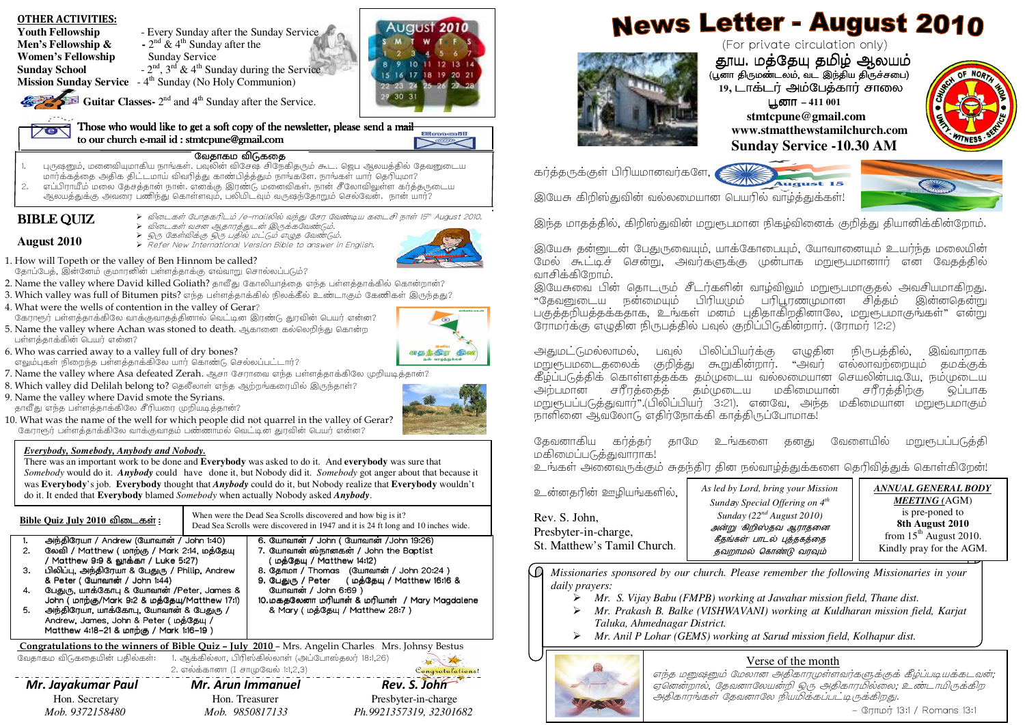- **News Letter August 2010** August 2010 **Youth Fellowship** - Every Sunday after the Sunday Service **Men's Fellowship &**  $\cdot$   $2^{nd}$  &  $4^{th}$  Sunday after the (For private circulation only) **Women's Fellowship •• Sunday Service** ்தூய. மத்தேயு தமிழ் ஆலயம்<br>புன திஙுண் லட்லட் இந்திய திநச்சபை 10 11 12 13 14 **Sunday School**  $-2^{nd}$ ,  $3^{rd}$  &  $4^{th}$  Sunday during the Service 15 16 17 18 19 20 21 (பூனா திருமண்டலம், வட இந்திய திருச்சபை)<br>-**Mission Sunday Service** - 4<sup>th</sup> Sunday (No Holy Communion)  $23 - 24$ 25 26 27 28 **19, டாக்டர் அம்பேத்கார் சாலை**  $30 - 31$ **Parties** Guitar Classes- 2<sup>nd</sup> and 4<sup>th</sup> Sunday after the Service. **பூனா – 411 001 stmtcpune@gmail.com** Those who would like to get a soft copy of the newsletter, please send a mail **www.stmatthewstamilchurch.com** Emacil to our church e to our church e our e-mail id mail id mail : stmtcpune@gmail.com gmail.comgmail.com  $\sim$   $\sim$ **Sunday Service -10.30 AM**வேதாகம விடுகதை . புருஷனும், மனைவியுமாகிய நாங்கள். பவுலின் விசேஷ சிநேகிதரும் கூட. ஜெப ஆலயத்தில் தேவனுடைய WZ 1.கர்த்தருக்குள் பிரியமானவர்களே, மார்க்கத்தை அதிக திட்டமாய் விவரித்து காண்பித்ததும் நாங்களே. நாங்கள் யார் தெரியுமா? 2.. எப்பிராயீம் மலை தேசத்தான் நான். எனக்கு இரண்டு மனைவிகள். நான் சீலோவிலுள்ள கர்த்தருடைய .<br>அலயத்துக்கு அவரை பணிந்து கொள்ளவும், பலியிடவும் வருஷந்தோறும் செல்வேன். நான் யார்? இயேசு கிறிஸ்துவின் வல்லமையான பெயரில் வாழ்த்துக்கள்! **BIBLE QUIZ** > விடைகள் போதகரிடம் /e-mailலில் வந்து சேர வேண்டிய கடைசி நாள் 15th August 2010.<br>> - வெடிக்காண வெக்கார்கள் கிடக்கியத்தில் இந்த மாதத்தில், கிறிஸ்துவின் மறுரூபமான நிகழ்வினைக் குறித்து தியானிக்கின்றோம். > விடைகள் வசன ஆதாரத்துடன் இருக்கவேண்டும்.<br>>> கொள்விக்க கொய்கில் டிட்டிக் கடிக வேண்டு > ஒரு கேள்விக்கு ஒரு பதில் மட்டும் எழுத வேண்டும்.<br>Defendent International Venter Bible for money in **August 2010** $\blacktriangleright$  Refer New International Version Bible to answer in English. இயேசு தன்னுடன் பேதுருவையும், யாக்கோபையும், யோவானையும் உயர்ந்த மலையின் 1. How will Topeth or the valley of Ben Hinnom be called? மேல் கூட்டிச் சென்று, அவர்களுக்கு முன்பாக மறுரூபமானார் என வேதத்தில் தோப்பேத், இன்னேம் குமாரனின் பள்ளத்தாக்கு எவ்வாறு சொல்லப்படும்? வாசிக்கிறோம். 2. Name the valley where David killed Goliath? தாவீது கோலியாத்தை எந்த பள்ளத்தாக்கில் கொன்றான்? இயேசுவை பின் தொடரும் சீடர்களின் வாழ்விலும் மறுரூபமாகுதல் அவசியமாகிறது. 3. Which valley was full of Bitumen pits? எந்த பள்ளத்தாக்கில் நிலக்கீல் உண்டாகும் கேணிகள் இருந்தது? ு மேலை நன்மையம் பிரியமும் பரிபாணமுமான சிக்கம் இன்னகென்று " 4. What were the wells of contention in the valley of Gerar?பகுக்கறியக்கக்ககாக, உங்கள் மனம் பகிகாகிறகினாலே, மறுஞ்பமாகுங்கள்" என்று கேராரூர் பள்ளத்தாக்கிலே வாக்குவாதத்தினால் வெட்டின இரண்டு துரவின் பெயர் என்ன? ரோமர்க்கு எழுதின் நிருபத்தில் பவல் குறிப்பிடுகின்றார். (ரோமர் 12:2) 5. Name the valley where Achan was stoned to death. ஆகானை கல்லெறிந்து கொன்ற பள்ளத்தாக்கின் பெயர் என்ன? 6. Who was carried away to a valley full of dry bones? .<br>எதந்திர தின அதுமட்டுமல்லாமல், பவுல் பிலிப்பியர்க்கு எழுதின நிருபத்தில், இவ்வாறாக எலும்புகள் நிறைந்த பள்ளத்தாக்கிலே யார் கொண்டு செல்லப்பட்டார்? மறுரூபமடைதலைக் குறித்து கூறுகின்றார். "அவர் எல்லாவற்றையும் தமக்குக் 7.  $N$ ame the valley where Asa defeated Zerah. ஆசா சேராவை எந்த பள்ளத்தாக்கிலே முறியடித்தான்? .<br>கீழ்ப்படுத்திக் கொள்ளத்தக்க தம்முடைய வல்லமையான செயலின்படியே, நம்முடைய<br>அற்பமான சரீரத்தைத் தம்முடைய மகிமையான் சரீரத்திற்கு ஒப்பாக 8. Which valley did Delilah belong to? தெலீலாள் எந்த ஆற்றங்கரையில் இருந்தாள்? : அற்பமான சரீரத்தைத் தமமுடைய மகிமையான சரீரத்திற்கு ஒப்பாக 9. Name the valley where David smote the Syrians. மறுரூபப்படுத்துவார்".(பிலிப்பியர் 3:21). எனவே, அந்த மகிமையான மறுரூபமாகும் .<br>தாவீது எந்த பள்ளத்தாக்கிலே சீரியரை முறியடித்தான்? நாளினை ஆவலோடு எதிர்நோக்கி காத்திருப்போமாக! 10. What was the name of the well for which people did not quarrel in the valley of Gerar? கேராரூர் பள்ளத்தாக்கிலே வாக்குவாதம் பண்ணாமல் வெட்டின் துரவின் பெயர் என்ன? தேவனாகிய கா்க்கா் காமே உங்களை கனது வேளையில் மாபாபுபடுக்கி *Everybody, Somebody, Anybody and Nobody.*மகிமைப்படுத்துவாராக! There was an important work to be done and **Everybody** was asked to do it. And **everybody** was sure that உங்கள் அனைவருக்கும் சுதந்திர தின நல்வாழ்த்துக்களை தெரிவித்துக் கொள்கிறேன்! *Somebody* would do it. *Anybody* could have done it, but Nobody did it. *Somebody* got anger about that because it was **Everybody**'s job. **Everybody** thought that *Anybody* could do it, but Nobody realize that **Everybody** wouldn't *As led by Lord, bring your Mission ANNUAL GENERAL BODY*உன்னதரின் ஊழியங்களில், do it. It ended that **Everybody** blamed *Somebody* when actually Nobody asked *Anybody*. *MEETING (*AGM) *Sund*a*y Special Offering on 4th* is pre-poned to When were the Dead Sea Scrolls discovered and how big is it? *Sunday (22nd August 2010)* Rev. S. John,<u>Bible Quiz July 2010 விடைகள் :</u> **8th August 2010** Dead Sea Scrolls were discovered in 1947 and it is 24 ft long and 10 inches wide. அன்று 'கிறிஸ்தவ ஆராதனை Presbyter-in-charge, from  $15^{th}$  August 2010. கீதங்கள் பாடல் புத்தகத்தை 1. அந்திரேயா / Andrew (யோவான் / John 1:40) | 6. யோவான் / John (யோவான் /John 19:26) | கொட்டி பெருட்ட பாட்டிய போ<br>2. லேவி / Matthew / மாற்கு / Mark 2:14. மக்கேய | 7. யோவான் ஸ்நானகன் / John the Baptist | St. Matthew's Tamil C 6. யோவான் / John ( யோவான் /John 19:26) Kindly pray for the AGM. . லேவி / Matthew (மாற்கு / Mark 2:14, மத்தேயு<br>கால்லியம் கால்லியாவில் கால்லியாவில் கால்லியாவில் கால்லியம் பெரியாவில் கால்லியம் பெரியாவில் கால்லியாவில் பெரியா தவறாமல் கொண்டு வரவும் 7. யோவான் ஸ்நானகன் / John the Baptist / Matthew 9:9 & லூக்கா / Luke 5:27) ( மத்தேயு / Matthew 14:12)<br>கோட்ட / Thanthew *(கொட* 3.. பிலிப்பு, அந்திரேயா & பேதுரு / Philip, Andrew 8. தோமா / Thomas (யோவான் / John 20:24 ) .N *Missionaries sponsored by our church. Please remember the following Missionaries in your* & Peter ( யோவான் / John 1:44) 9. பேதுரு / Peter (மத்தேயு / Matthew 16:16 & *daily prayers:* 4.. பேதுரு, யாக்கோபு & யோவான் /Peter, James & யோவான் / John 6:69 )<br>-⋗ *Mr. S. Vijay Babu (FMPB) working at Jawahar mission field, Thane dist.*  John ( மாற்கு/Mark 9:2 & மத்தேயு/Matthew 17:1) 10.மகதலேனா மரியாள் & மரியாள் / Mary Magdalene 5. ;N7G&, ;N7G&,&: &:&:,&- &- &-&\*?/ *Mr. Prakash B. Balke (VISHWAVANI) working at Kuldharan mission field, Karjat*  & Mary ( மத்தேயு / Matthew 28:7 ) ⋗ Andrew, James, John & Peter ( மத்தேயு / *Taluka, Ahmednagar District.* Matthew 4:18–21 & மாற்கு / Mark 1:16–19) ⋗ *Mr. Anil P Lohar (GEMS) working at Sarud mission field, Kolhapur dist.*  Congratulations to the winners of Bible Quiz – July 2010 – Mrs. Angelin Charles Mrs. Johnsy Bestus வேகாகம விடுககையின் பகில்கள்: 1. அக்கில்லா, பிரிஸ்கில்லாள் (அப்போஸ்கலா் 18:1,26) Verse of the month2.  $\overline{AB}$   $\overline{AB}$ Congratulations! எந்த மனுஷனும் மேலான அதிகாரமுள்ளவர்களுக்குக் கீழ்ப்படியக்கடவன்;
	- Mr. Jayakumar Paul Mr. Arun Immanuel Rev. S. John Hon. Secretary Hon. Treasurer Presbyter-in-charge  *Mob. 9372158480 Mob. 9850817133 Ph.9921357319, 32301682*

OTHER ACTIVITIES:

 $-$  G $\pi$ mpr $\pi$  13:1 / Romans 13:1

் ஏனென்றால், தேவனாலேயன்றி ஒரு அதிகாரமில்லை; உண்டாயிருக்கிற

.<br>அகிகாாங்கள் கேவனாலே நியமிக்கப்பட்டிருக்கிறது.